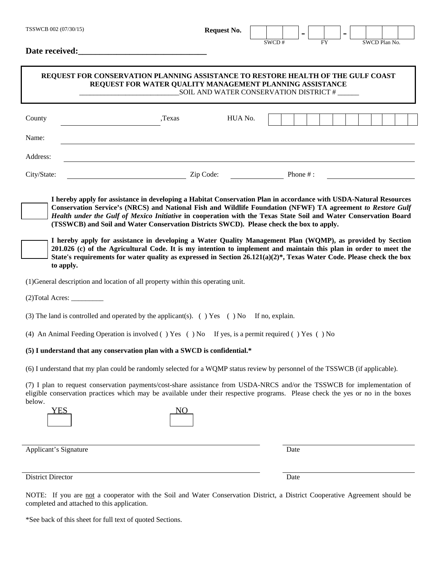| TSSWCB 002 (07/30/15)                                                                                                                                                                                                                                                                                                                                                                                                                                                                                                                                | <b>Request No.</b> |         |       |             |           |  |               |  |
|------------------------------------------------------------------------------------------------------------------------------------------------------------------------------------------------------------------------------------------------------------------------------------------------------------------------------------------------------------------------------------------------------------------------------------------------------------------------------------------------------------------------------------------------------|--------------------|---------|-------|-------------|-----------|--|---------------|--|
| Date received:                                                                                                                                                                                                                                                                                                                                                                                                                                                                                                                                       |                    |         | SWCD# |             | <b>FY</b> |  | SWCD Plan No. |  |
| REQUEST FOR CONSERVATION PLANNING ASSISTANCE TO RESTORE HEALTH OF THE GULF COAST<br>REQUEST FOR WATER QUALITY MANAGEMENT PLANNING ASSISTANCE                                                                                                                                                                                                                                                                                                                                                                                                         |                    |         |       |             |           |  |               |  |
| County<br>,Texas                                                                                                                                                                                                                                                                                                                                                                                                                                                                                                                                     |                    | HUA No. |       |             |           |  |               |  |
| Name:                                                                                                                                                                                                                                                                                                                                                                                                                                                                                                                                                |                    |         |       |             |           |  |               |  |
| Address:                                                                                                                                                                                                                                                                                                                                                                                                                                                                                                                                             |                    |         |       |             |           |  |               |  |
| City/State:                                                                                                                                                                                                                                                                                                                                                                                                                                                                                                                                          | Zip Code:          |         |       | Phone $#$ : |           |  |               |  |
| (TSSWCB) and Soil and Water Conservation Districts SWCD). Please check the box to apply.<br>I hereby apply for assistance in developing a Water Quality Management Plan (WQMP), as provided by Section<br>201.026 (c) of the Agricultural Code. It is my intention to implement and maintain this plan in order to meet the<br>State's requirements for water quality as expressed in Section 26.121(a)(2)*, Texas Water Code. Please check the box<br>to apply.<br>(1) General description and location of all property within this operating unit. |                    |         |       |             |           |  |               |  |
|                                                                                                                                                                                                                                                                                                                                                                                                                                                                                                                                                      |                    |         |       |             |           |  |               |  |
| (3) The land is controlled and operated by the applicant(s). ( $\prime$ ) Yes ( $\prime$ ) No If no, explain.                                                                                                                                                                                                                                                                                                                                                                                                                                        |                    |         |       |             |           |  |               |  |
| (4) An Animal Feeding Operation is involved () Yes () No If yes, is a permit required () Yes () No                                                                                                                                                                                                                                                                                                                                                                                                                                                   |                    |         |       |             |           |  |               |  |
| (5) I understand that any conservation plan with a SWCD is confidential.*                                                                                                                                                                                                                                                                                                                                                                                                                                                                            |                    |         |       |             |           |  |               |  |
| (6) I understand that my plan could be randomly selected for a WQMP status review by personnel of the TSSWCB (if applicable).                                                                                                                                                                                                                                                                                                                                                                                                                        |                    |         |       |             |           |  |               |  |
| (7) I plan to request conservation payments/cost-share assistance from USDA-NRCS and/or the TSSWCB for implementation of<br>eligible conservation practices which may be available under their respective programs. Please check the yes or no in the boxes<br>below.<br>YES                                                                                                                                                                                                                                                                         | NO                 |         |       |             |           |  |               |  |
| Applicant's Signature                                                                                                                                                                                                                                                                                                                                                                                                                                                                                                                                |                    |         |       | Date        |           |  |               |  |
| District Director                                                                                                                                                                                                                                                                                                                                                                                                                                                                                                                                    |                    |         |       | Date        |           |  |               |  |

NOTE: If you are not a cooperator with the Soil and Water Conservation District, a District Cooperative Agreement should be completed and attached to this application.

| *See back of this sheet for full text of quoted Sections. |  |
|-----------------------------------------------------------|--|
|-----------------------------------------------------------|--|